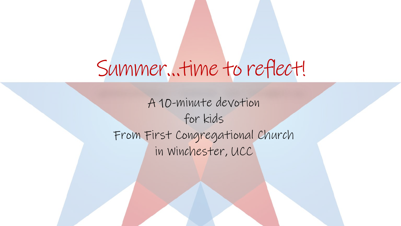# Summer…time to reflect!

A 10-minute devotion for kids From First Congregational Church in Winchester, UCC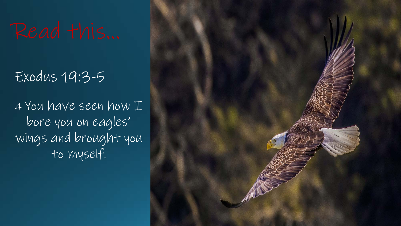# Exodus 19:3-5

4 You have seen how  $I$ bore you on eagles' wings and brought you to myself.

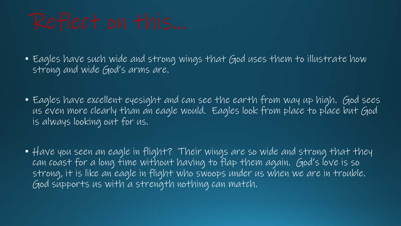• Eagles have such wide and strong wings that God uses them to illustrate how strong and wide God's arms are.

- Eagles have excellent eyesight and can see the earth from way up high. God sees us even more clearly than an eagle would. Eagles look from place to place but God is always looking out for us.
- Have you seen an eagle in flight? Their wings are so wide and strong that they can coast for a long time without having to flap them again. God's love is so strong, it is like an eagle in flight who swoops under us when we are in trouble. God supports us with a strength nothing can match.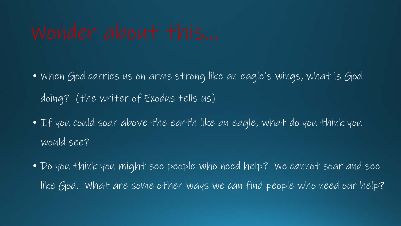- When God carries us on arms strong like an eagle's wings, what is God doing? (the writer of Exodus tells us)
- If you could soar above the earth like an eagle, what do you think you would see?
- Do you think you might see people who need help? We cannot soar and see like God. What are some other ways we can find people who need our help?